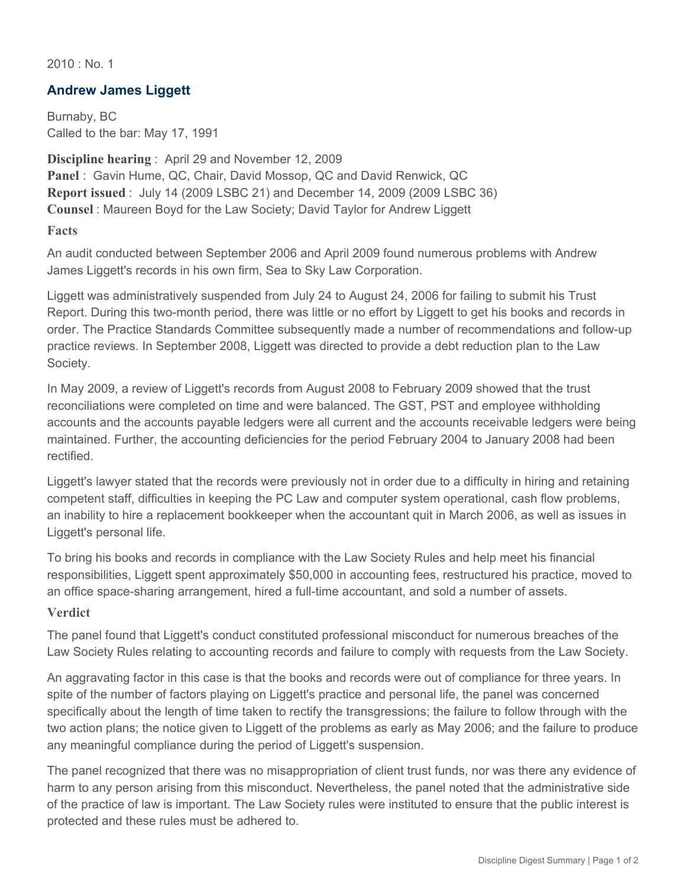$2010 \cdot$  No. 1

## **Andrew James Liggett**

Burnaby, BC Called to the bar: May 17, 1991

**Discipline hearing** : April 29 and November 12, 2009 **Panel** : Gavin Hume, QC, Chair, David Mossop, QC and David Renwick, QC **Report issued** : July 14 (2009 LSBC 21) and December 14, 2009 (2009 LSBC 36) **Counsel** : Maureen Boyd for the Law Society; David Taylor for Andrew Liggett

## **Facts**

An audit conducted between September 2006 and April 2009 found numerous problems with Andrew James Liggett's records in his own firm, Sea to Sky Law Corporation.

Liggett was administratively suspended from July 24 to August 24, 2006 for failing to submit his Trust Report. During this two-month period, there was little or no effort by Liggett to get his books and records in order. The Practice Standards Committee subsequently made a number of recommendations and follow-up practice reviews. In September 2008, Liggett was directed to provide a debt reduction plan to the Law Society.

In May 2009, a review of Liggett's records from August 2008 to February 2009 showed that the trust reconciliations were completed on time and were balanced. The GST, PST and employee withholding accounts and the accounts payable ledgers were all current and the accounts receivable ledgers were being maintained. Further, the accounting deficiencies for the period February 2004 to January 2008 had been rectified.

Liggett's lawyer stated that the records were previously not in order due to a difficulty in hiring and retaining competent staff, difficulties in keeping the PC Law and computer system operational, cash flow problems, an inability to hire a replacement bookkeeper when the accountant quit in March 2006, as well as issues in Liggett's personal life.

To bring his books and records in compliance with the Law Society Rules and help meet his financial responsibilities, Liggett spent approximately \$50,000 in accounting fees, restructured his practice, moved to an office space-sharing arrangement, hired a full-time accountant, and sold a number of assets.

## **Verdict**

The panel found that Liggett's conduct constituted professional misconduct for numerous breaches of the Law Society Rules relating to accounting records and failure to comply with requests from the Law Society.

An aggravating factor in this case is that the books and records were out of compliance for three years. In spite of the number of factors playing on Liggett's practice and personal life, the panel was concerned specifically about the length of time taken to rectify the transgressions; the failure to follow through with the two action plans; the notice given to Liggett of the problems as early as May 2006; and the failure to produce any meaningful compliance during the period of Liggett's suspension.

The panel recognized that there was no misappropriation of client trust funds, nor was there any evidence of harm to any person arising from this misconduct. Nevertheless, the panel noted that the administrative side of the practice of law is important. The Law Society rules were instituted to ensure that the public interest is protected and these rules must be adhered to.